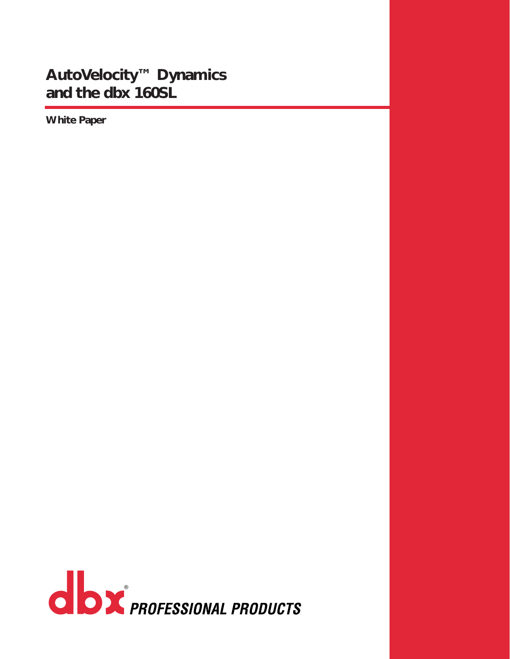## **AutoVelocity™ Dynamics and the dbx 160SL**

**White Paper**

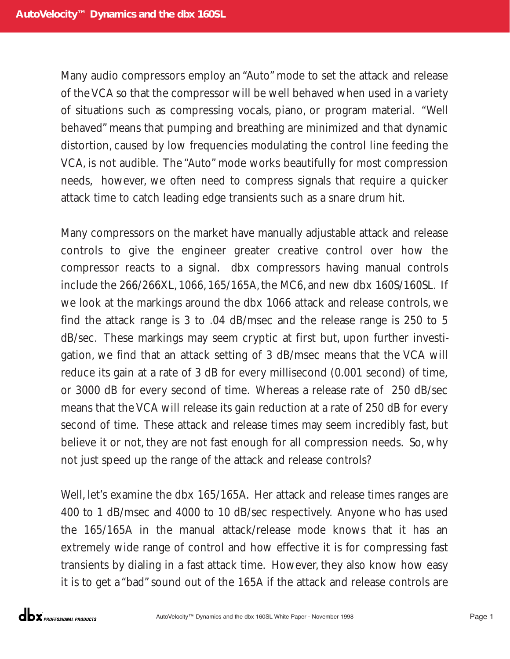Many audio compressors employ an "Auto" mode to set the attack and release of the VCA so that the compressor will be well behaved when used in a variety of situations such as compressing vocals, piano, or program material. "Well behaved" means that pumping and breathing are minimized and that dynamic distortion, caused by low frequencies modulating the control line feeding the VCA, is not audible. The "Auto" mode works beautifully for most compression needs, however, we often need to compress signals that require a quicker attack time to catch leading edge transients such as a snare drum hit.

Many compressors on the market have manually adjustable attack and release controls to give the engineer greater creative control over how the compressor reacts to a signal. dbx compressors having manual controls include the 266/266XL,1066,165/165A,the MC6,and new dbx 160S/160SL. If we look at the markings around the dbx 1066 attack and release controls, we find the attack range is 3 to .04 dB/msec and the release range is 250 to 5 dB/sec. These markings may seem cryptic at first but, upon further investigation, we find that an attack setting of 3 dB/msec means that the VCA will reduce its gain at a rate of 3 dB for every millisecond (0.001 second) of time, or 3000 dB for every second of time. Whereas a release rate of 250 dB/sec means that the VCA will release its gain reduction at a rate of 250 dB for every second of time. These attack and release times may seem incredibly fast, but believe it or not, they are not fast enough for all compression needs. So, why not just speed up the range of the attack and release controls?

Well, let's examine the dbx 165/165A. Her attack and release times ranges are 400 to 1 dB/msec and 4000 to 10 dB/sec respectively. Anyone who has used the 165/165A in the manual attack/release mode knows that it has an extremely wide range of control and how effective it is for compressing fast transients by dialing in a fast attack time. However, they also know how easy it is to get a "bad" sound out of the 165A if the attack and release controls are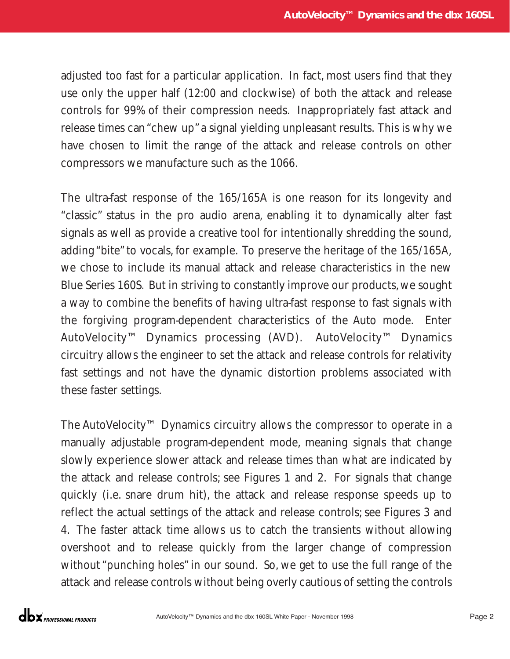adjusted too fast for a particular application. In fact, most users find that they use only the upper half (12:00 and clockwise) of both the attack and release controls for 99% of their compression needs. Inappropriately fast attack and release times can "chew up"a signal yielding unpleasant results. This is why we have chosen to limit the range of the attack and release controls on other compressors we manufacture such as the 1066.

The ultra-fast response of the 165/165A is one reason for its longevity and "classic" status in the pro audio arena, enabling it to dynamically alter fast signals as well as provide a creative tool for intentionally shredding the sound, adding "bite" to vocals, for example. To preserve the heritage of the 165/165A, we chose to include its manual attack and release characteristics in the new Blue Series 160S. But in striving to constantly improve our products,we sought a way to combine the benefits of having ultra-fast response to fast signals with the forgiving program-dependent characteristics of the Auto mode. Enter AutoVelocity™ Dynamics processing (AVD). AutoVelocity™ Dynamics circuitry allows the engineer to set the attack and release controls for relativity fast settings and not have the dynamic distortion problems associated with these faster settings.

The AutoVelocity™ Dynamics circuitry allows the compressor to operate in a manually adjustable program-dependent mode, meaning signals that change slowly experience slower attack and release times than what are indicated by the attack and release controls; see Figures 1 and 2. For signals that change quickly (i.e. snare drum hit), the attack and release response speeds up to reflect the actual settings of the attack and release controls; see Figures 3 and 4. The faster attack time allows us to catch the transients without allowing overshoot and to release quickly from the larger change of compression without "punching holes" in our sound. So, we get to use the full range of the attack and release controls without being overly cautious of setting the controls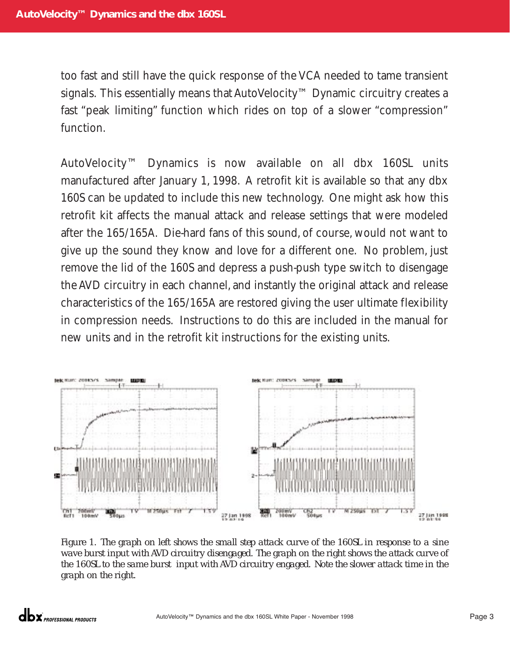too fast and still have the quick response of the VCA needed to tame transient signals. This essentially means that AutoVelocity™ Dynamic circuitry creates a fast "peak limiting" function which rides on top of a slower "compression" function.

AutoVelocity™ Dynamics is now available on all dbx 160SL units manufactured after January 1, 1998. A retrofit kit is available so that any dbx 160S can be updated to include this new technology. One might ask how this retrofit kit affects the manual attack and release settings that were modeled after the 165/165A. Die-hard fans of this sound, of course, would not want to give up the sound they know and love for a different one. No problem, just remove the lid of the 160S and depress a push-push type switch to disengage the AVD circuitry in each channel, and instantly the original attack and release characteristics of the 165/165A are restored giving the user ultimate flexibility in compression needs. Instructions to do this are included in the manual for new units and in the retrofit kit instructions for the existing units.



*Figure 1. The graph on left shows the small step attack curve of the 160SL in response to a sine wave burst input with AVD circuitry disengaged. The graph on the right shows the attack curve of the 160SL to the same burst input with AVD circuitry engaged. Note the slower attack time in the graph on the right.*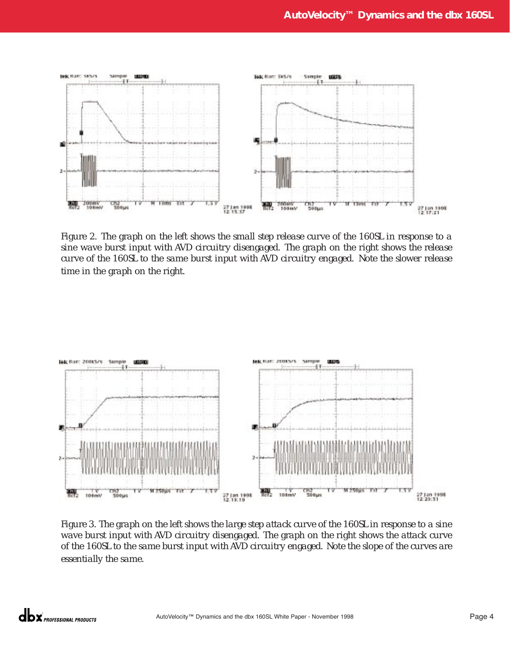

*Figure 2. The graph on the left shows the small step release curve of the 160SL in response to a sine wave burst input with AVD circuitry disengaged. The graph on the right shows the release curve of the 160SL to the same burst input with AVD circuitry engaged. Note the slower release time in the graph on the right.*



*Figure 3. The graph on the left shows the large step attack curve of the 160SL in response to a sine wave burst input with AVD circuitry disengaged. The graph on the right shows the attack curve of the 160SL to the same burst input with AVD circuitry engaged. Note the slope of the curves are essentially the same.*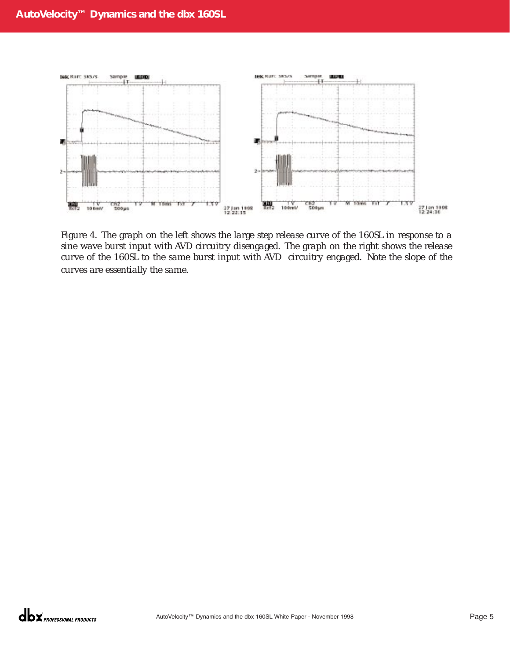

*Figure 4. The graph on the left shows the large step release curve of the 160SL in response to a sine wave burst input with AVD circuitry disengaged. The graph on the right shows the release curve of the 160SL to the same burst input with AVD circuitry engaged. Note the slope of the curves are essentially the same.*